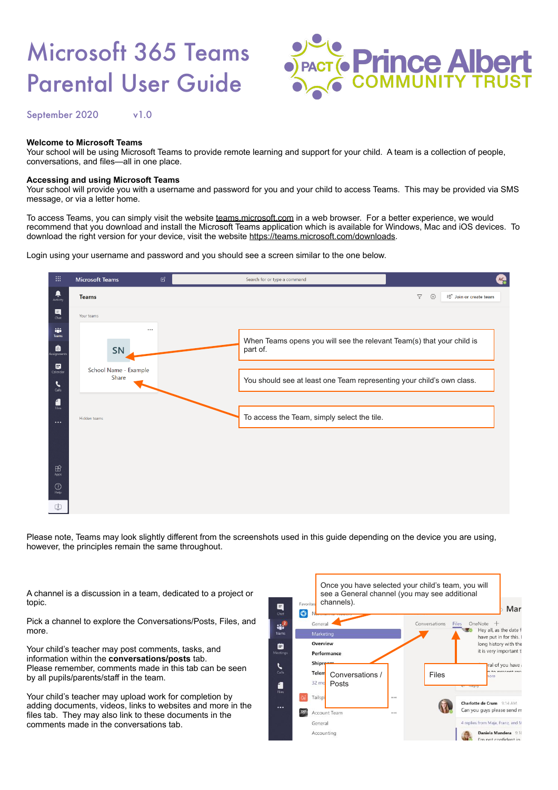# Microsoft 365 Teams Parental User Guide



September 2020 v1.0

#### **Welcome to Microsoft Teams**

Your school will be using Microsoft Teams to provide remote learning and support for your child. A team is a collection of people, conversations, and files—all in one place.

## **Accessing and using Microsoft Teams**

Your school will provide you with a username and password for you and your child to access Teams. This may be provided via SMS message, or via a letter home.

To access Teams, you can simply visit the website [teams.microsoft.com](http://teams.microsoft.com) in a web browser. For a better experience, we would recommend that you download and install the Microsoft Teams application which is available for Windows, Mac and iOS devices. To download the right version for your device, visit the website [https://teams.microsoft.com/downloads.](https://teams.microsoft.com/downloads)

Login using your username and password and you should see a screen similar to the one below.



Please note, Teams may look slightly different from the screenshots used in this guide depending on the device you are using, however, the principles remain the same throughout.

A channel is a discussion in a team, dedicated to a project or topic.

Pick a channel to explore the Conversations/Posts, Files, and more.

Your child's teacher may post comments, tasks, and information within the **conversations/posts** tab. Please remember, comments made in this tab can be seen by all pupils/parents/staff in the team.

Your child's teacher may upload work for completion by adding documents, videos, links to websites and more in the files tab. They may also link to these documents in the comments made in the conversations tab.